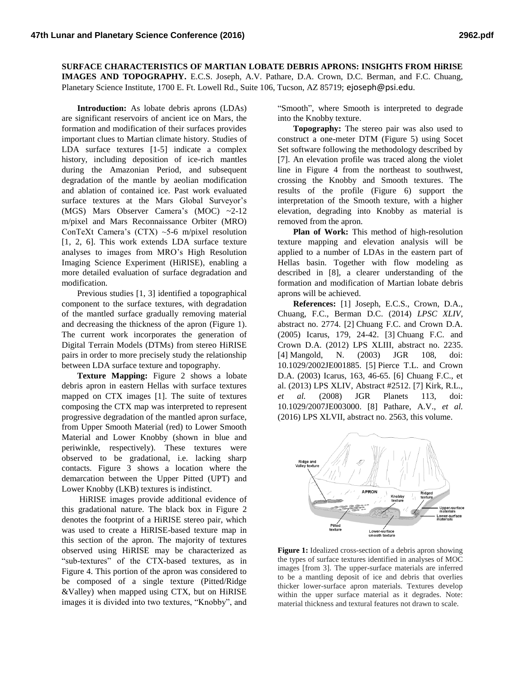**SURFACE CHARACTERISTICS OF MARTIAN LOBATE DEBRIS APRONS: INSIGHTS FROM HiRISE IMAGES AND TOPOGRAPHY.** E.C.S. Joseph, A.V. Pathare, D.A. Crown, D.C. Berman, and F.C. Chuang, Planetary Science Institute, 1700 E. Ft. Lowell Rd., Suite 106, Tucson, AZ 85719; ejoseph@psi.edu.

**Introduction:** As lobate debris aprons (LDAs) are significant reservoirs of ancient ice on Mars, the formation and modification of their surfaces provides important clues to Martian climate history. Studies of LDA surface textures [1-5] indicate a complex history, including deposition of ice-rich mantles during the Amazonian Period, and subsequent degradation of the mantle by aeolian modification and ablation of contained ice. Past work evaluated surface textures at the Mars Global Surveyor's (MGS) Mars Observer Camera's (MOC) ~2-12 m/pixel and Mars Reconnaissance Orbiter (MRO) ConTeXt Camera's (CTX) ~5-6 m/pixel resolution [1, 2, 6]. This work extends LDA surface texture analyses to images from MRO's High Resolution Imaging Science Experiment (HiRISE), enabling a more detailed evaluation of surface degradation and modification.

Previous studies [1, 3] identified a topographical component to the surface textures, with degradation of the mantled surface gradually removing material and decreasing the thickness of the apron (Figure 1). The current work incorporates the generation of Digital Terrain Models (DTMs) from stereo HiRISE pairs in order to more precisely study the relationship between LDA surface texture and topography.

**Texture Mapping:** Figure 2 shows a lobate debris apron in eastern Hellas with surface textures mapped on CTX images [1]. The suite of textures composing the CTX map was interpreted to represent progressive degradation of the mantled apron surface, from Upper Smooth Material (red) to Lower Smooth Material and Lower Knobby (shown in blue and periwinkle, respectively). These textures were observed to be gradational, i.e. lacking sharp contacts. Figure 3 shows a location where the demarcation between the Upper Pitted (UPT) and Lower Knobby (LKB) textures is indistinct.

HiRISE images provide additional evidence of this gradational nature. The black box in Figure 2 denotes the footprint of a HiRISE stereo pair, which was used to create a HiRISE-based texture map in this section of the apron. The majority of textures observed using HiRISE may be characterized as "sub-textures" of the CTX-based textures, as in Figure 4. This portion of the apron was considered to be composed of a single texture (Pitted/Ridge &Valley) when mapped using CTX, but on HiRISE images it is divided into two textures, "Knobby", and "Smooth", where Smooth is interpreted to degrade into the Knobby texture.

**Topography:** The stereo pair was also used to construct a one-meter DTM (Figure 5) using Socet Set software following the methodology described by [7]. An elevation profile was traced along the violet line in Figure 4 from the northeast to southwest, crossing the Knobby and Smooth textures. The results of the profile (Figure 6) support the interpretation of the Smooth texture, with a higher elevation, degrading into Knobby as material is removed from the apron.

**Plan of Work:** This method of high-resolution texture mapping and elevation analysis will be applied to a number of LDAs in the eastern part of Hellas basin. Together with flow modeling as described in [8], a clearer understanding of the formation and modification of Martian lobate debris aprons will be achieved.

**References:** [1] Joseph, E.C.S., Crown, D.A., Chuang, F.C., Berman D.C. (2014) *LPSC XLIV*, abstract no. 2774. [2] Chuang F.C. and Crown D.A. (2005) Icarus, 179, 24-42. [3] Chuang F.C. and Crown D.A. (2012) LPS XLIII, abstract no. 2235. [4] Mangold, N. (2003) JGR 108, doi: 10.1029/2002JE001885. [5] Pierce T.L. and Crown D.A. (2003) Icarus, 163, 46-65. [6] Chuang F.C., et al. (2013) LPS XLIV, Abstract #2512. [7] Kirk, R.L., *et al.* (2008) JGR Planets 113, doi: 10.1029/2007JE003000. [8] Pathare, A.V., *et al.* (2016) LPS XLVII, abstract no. 2563, this volume.



**Figure 1:** Idealized cross-section of a debris apron showing the types of surface textures identified in analyses of MOC images [from 3]. The upper-surface materials are inferred to be a mantling deposit of ice and debris that overlies thicker lower-surface apron materials. Textures develop within the upper surface material as it degrades. Note: material thickness and textural features not drawn to scale.